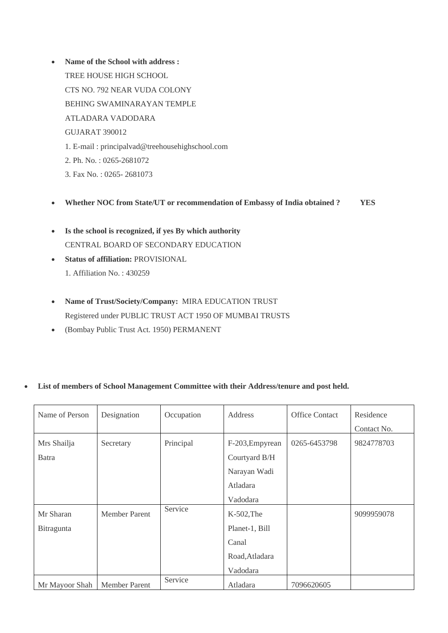- **Name of the School with address :** TREE HOUSE HIGH SCHOOL CTS NO. 792 NEAR VUDA COLONY BEHING SWAMINARAYAN TEMPLE ATLADARA VADODARA GUJARAT 390012 1. E-mail : principalvad@treehousehighschool.com 2. Ph. No. : 0265-2681072 3. Fax No. : 0265- 2681073
- **Whether NOC from State/UT or recommendation of Embassy of India obtained ? YES**
- **Is the school is recognized, if yes By which authority** CENTRAL BOARD OF SECONDARY EDUCATION
- **Status of affiliation:** PROVISIONAL 1. Affiliation No. : 430259
- **Name of Trust/Society/Company:** MIRA EDUCATION TRUST Registered under PUBLIC TRUST ACT 1950 OF MUMBAI TRUSTS
- (Bombay Public Trust Act. 1950) PERMANENT

## • **List of members of School Management Committee with their Address/tenure and post held.**

| Name of Person | Designation          | Occupation | Address         | <b>Office Contact</b> | Residence   |
|----------------|----------------------|------------|-----------------|-----------------------|-------------|
|                |                      |            |                 |                       | Contact No. |
| Mrs Shailja    | Secretary            | Principal  | F-203, Empyrean | 0265-6453798          | 9824778703  |
| Batra          |                      |            | Courtyard B/H   |                       |             |
|                |                      |            | Narayan Wadi    |                       |             |
|                |                      |            | Atladara        |                       |             |
|                |                      |            | Vadodara        |                       |             |
| Mr Sharan      | <b>Member Parent</b> | Service    | $K-502$ , The   |                       | 9099959078  |
| Bitragunta     |                      |            | Planet-1, Bill  |                       |             |
|                |                      |            | Canal           |                       |             |
|                |                      |            | Road, Atladara  |                       |             |
|                |                      |            | Vadodara        |                       |             |
| Mr Mayoor Shah | <b>Member Parent</b> | Service    | Atladara        | 7096620605            |             |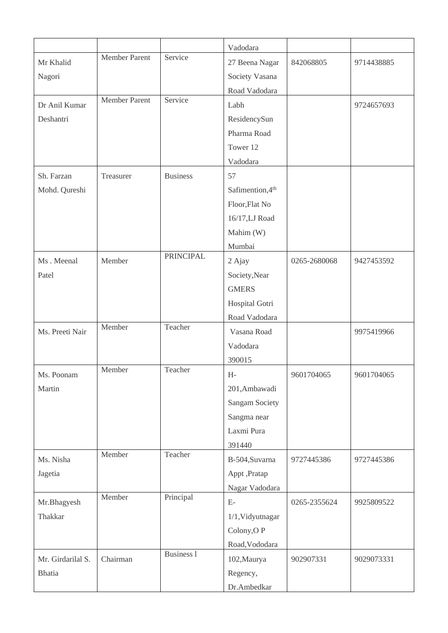|                   |                      |                   | Vadodara         |              |            |
|-------------------|----------------------|-------------------|------------------|--------------|------------|
| Mr Khalid         | <b>Member Parent</b> | Service           | 27 Beena Nagar   | 842068805    | 9714438885 |
| Nagori            |                      |                   | Society Vasana   |              |            |
|                   |                      |                   | Road Vadodara    |              |            |
| Dr Anil Kumar     | <b>Member Parent</b> | Service           | Labh             |              | 9724657693 |
| Deshantri         |                      |                   | ResidencySun     |              |            |
|                   |                      |                   | Pharma Road      |              |            |
|                   |                      |                   | Tower 12         |              |            |
|                   |                      |                   | Vadodara         |              |            |
| Sh. Farzan        | Treasurer            | <b>Business</b>   | 57               |              |            |
| Mohd. Qureshi     |                      |                   | Safimention, 4th |              |            |
|                   |                      |                   | Floor, Flat No   |              |            |
|                   |                      |                   | 16/17, LJ Road   |              |            |
|                   |                      |                   | Mahim (W)        |              |            |
|                   |                      |                   | Mumbai           |              |            |
| Ms. Meenal        | Member               | <b>PRINCIPAL</b>  | 2 Ajay           | 0265-2680068 | 9427453592 |
| Patel             |                      |                   | Society, Near    |              |            |
|                   |                      |                   | <b>GMERS</b>     |              |            |
|                   |                      |                   | Hospital Gotri   |              |            |
|                   |                      |                   | Road Vadodara    |              |            |
| Ms. Preeti Nair   | Member               | Teacher           | Vasana Road      |              | 9975419966 |
|                   |                      |                   | Vadodara         |              |            |
|                   |                      |                   | 390015           |              |            |
| Ms. Poonam        | Member               | Teacher           | $H-$             | 9601704065   | 9601704065 |
| Martin            |                      |                   | 201,Ambawadi     |              |            |
|                   |                      |                   | Sangam Society   |              |            |
|                   |                      |                   | Sangma near      |              |            |
|                   |                      |                   | Laxmi Pura       |              |            |
|                   |                      |                   | 391440           |              |            |
| Ms. Nisha         | Member               | Teacher           | B-504, Suvarna   | 9727445386   | 9727445386 |
| Jagetia           |                      |                   | Appt ,Pratap     |              |            |
|                   |                      |                   | Nagar Vadodara   |              |            |
| Mr.Bhagyesh       | Member               | Principal         | $E-$             | 0265-2355624 | 9925809522 |
| Thakkar           |                      |                   | 1/1, Vidyutnagar |              |            |
|                   |                      |                   | Colony, OP       |              |            |
|                   |                      |                   | Road, Vododara   |              |            |
| Mr. Girdarilal S. | Chairman             | <b>Business 1</b> | 102, Maurya      | 902907331    | 9029073331 |
| <b>Bhatia</b>     |                      |                   | Regency,         |              |            |
|                   |                      |                   | Dr.Ambedkar      |              |            |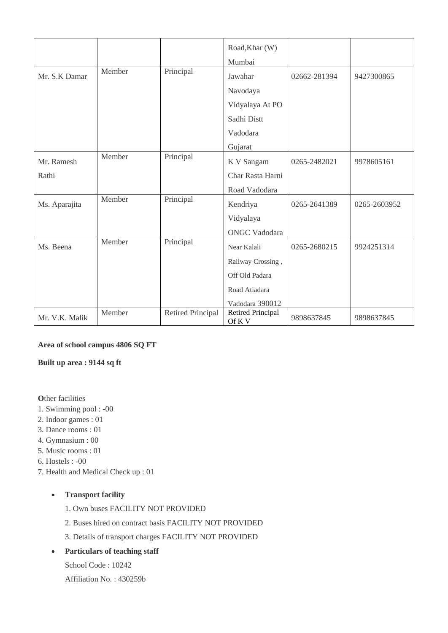|                |        |                   | Road, Khar (W)                     |              |              |
|----------------|--------|-------------------|------------------------------------|--------------|--------------|
|                |        |                   |                                    |              |              |
|                |        |                   | Mumbai                             |              |              |
| Mr. S.K Damar  | Member | Principal         | Jawahar                            | 02662-281394 | 9427300865   |
|                |        |                   | Navodaya                           |              |              |
|                |        |                   | Vidyalaya At PO                    |              |              |
|                |        |                   | Sadhi Distt                        |              |              |
|                |        |                   | Vadodara                           |              |              |
|                |        |                   | Gujarat                            |              |              |
| Mr. Ramesh     | Member | Principal         | K V Sangam                         | 0265-2482021 | 9978605161   |
| Rathi          |        |                   | Char Rasta Harni                   |              |              |
|                |        |                   | Road Vadodara                      |              |              |
| Ms. Aparajita  | Member | Principal         | Kendriya                           | 0265-2641389 | 0265-2603952 |
|                |        |                   | Vidyalaya                          |              |              |
|                |        |                   | <b>ONGC Vadodara</b>               |              |              |
| Ms. Beena      | Member | Principal         | Near Kalali                        | 0265-2680215 | 9924251314   |
|                |        |                   | Railway Crossing,                  |              |              |
|                |        |                   | Off Old Padara                     |              |              |
|                |        |                   | Road Atladara                      |              |              |
|                |        |                   | Vadodara 390012                    |              |              |
| Mr. V.K. Malik | Member | Retired Principal | <b>Retired Principal</b><br>Of K V | 9898637845   | 9898637845   |

### **Area of school campus 4806 SQ FT**

#### **Built up area : 9144 sq ft**

**Other facilities** 

- 1. Swimming pool : -00
- 2. Indoor games : 01
- 3. Dance rooms : 01
- 4. Gymnasium : 00
- 5. Music rooms : 01
- 6. Hostels : -00
- 7. Health and Medical Check up : 01

## • **Transport facility**

- 1. Own buses FACILITY NOT PROVIDED
- 2. Buses hired on contract basis FACILITY NOT PROVIDED
- 3. Details of transport charges FACILITY NOT PROVIDED
- **Particulars of teaching staff**
	- School Code : 10242
	- Affiliation No. : 430259b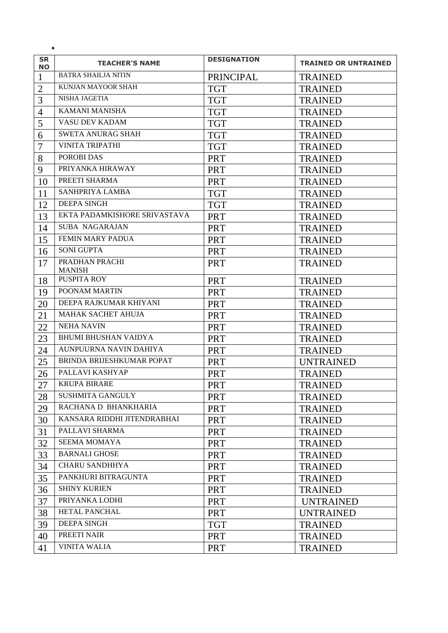| <b>SR</b><br><b>NO</b> | <b>TEACHER'S NAME</b>           | <b>DESIGNATION</b> | <b>TRAINED OR UNTRAINED</b> |
|------------------------|---------------------------------|--------------------|-----------------------------|
| 1                      | <b>BATRA SHAILJA NITIN</b>      | PRINCIPAL          | <b>TRAINED</b>              |
| $\overline{2}$         | KUNJAN MAYOOR SHAH              | <b>TGT</b>         | <b>TRAINED</b>              |
| $\overline{3}$         | NISHA JAGETIA                   | <b>TGT</b>         | <b>TRAINED</b>              |
| $\overline{4}$         | <b>KAMANI MANISHA</b>           | <b>TGT</b>         | <b>TRAINED</b>              |
| 5                      | VASU DEV KADAM                  | <b>TGT</b>         | <b>TRAINED</b>              |
| 6                      | <b>SWETA ANURAG SHAH</b>        | <b>TGT</b>         | <b>TRAINED</b>              |
| $\overline{7}$         | <b>VINITA TRIPATHI</b>          | <b>TGT</b>         | <b>TRAINED</b>              |
| 8                      | POROBI DAS                      | <b>PRT</b>         | <b>TRAINED</b>              |
| 9                      | PRIYANKA HIRAWAY                | <b>PRT</b>         | <b>TRAINED</b>              |
| 10                     | PREETI SHARMA                   | <b>PRT</b>         | <b>TRAINED</b>              |
| 11                     | SANHPRIYA LAMBA                 | <b>TGT</b>         | <b>TRAINED</b>              |
| 12                     | <b>DEEPA SINGH</b>              | <b>TGT</b>         | <b>TRAINED</b>              |
| 13                     | EKTA PADAMKISHORE SRIVASTAVA    | <b>PRT</b>         | <b>TRAINED</b>              |
| 14                     | <b>SUBA NAGARAJAN</b>           | <b>PRT</b>         | <b>TRAINED</b>              |
| 15                     | <b>FEMIN MARY PADUA</b>         | <b>PRT</b>         | <b>TRAINED</b>              |
| 16                     | <b>SONI GUPTA</b>               | <b>PRT</b>         | <b>TRAINED</b>              |
| 17                     | PRADHAN PRACHI<br><b>MANISH</b> | <b>PRT</b>         | <b>TRAINED</b>              |
| 18                     | PUSPITA ROY                     | <b>PRT</b>         | <b>TRAINED</b>              |
| 19                     | POONAM MARTIN                   | <b>PRT</b>         | <b>TRAINED</b>              |
| 20                     | DEEPA RAJKUMAR KHIYANI          | <b>PRT</b>         | <b>TRAINED</b>              |
| 21                     | MAHAK SACHET AHUJA              | <b>PRT</b>         | <b>TRAINED</b>              |
| 22                     | <b>NEHA NAVIN</b>               | <b>PRT</b>         | <b>TRAINED</b>              |
| 23                     | <b>BHUMI BHUSHAN VAIDYA</b>     | <b>PRT</b>         | <b>TRAINED</b>              |
| 24                     | AUNPUURNA NAVIN DAHIYA          | <b>PRT</b>         | <b>TRAINED</b>              |
| 25                     | BRINDA BRIJESHKUMAR POPAT       | <b>PRT</b>         | <b>UNTRAINED</b>            |
| 26                     | PALLAVI KASHYAP                 | <b>PRT</b>         | <b>TRAINED</b>              |
| 27                     | <b>KRUPA BIRARE</b>             | <b>PRT</b>         | <b>TRAINED</b>              |
| 28                     | SUSHMITA GANGULY                | <b>PRT</b>         | <b>TRAINED</b>              |
| 29                     | RACHANA D BHANKHARIA            | <b>PRT</b>         | <b>TRAINED</b>              |
| 30                     | KANSARA RIDDHI JITENDRABHAI     | <b>PRT</b>         | <b>TRAINED</b>              |
| 31                     | PALLAVI SHARMA                  | <b>PRT</b>         | <b>TRAINED</b>              |
| 32                     | <b>SEEMA MOMAYA</b>             | <b>PRT</b>         | <b>TRAINED</b>              |
| 33                     | <b>BARNALI GHOSE</b>            | <b>PRT</b>         | <b>TRAINED</b>              |
| 34                     | <b>CHARU SANDHHYA</b>           | <b>PRT</b>         | <b>TRAINED</b>              |
| 35                     | PANKHURI BITRAGUNTA             | <b>PRT</b>         | <b>TRAINED</b>              |
| 36                     | <b>SHINY KURIEN</b>             | <b>PRT</b>         | <b>TRAINED</b>              |
| 37                     | PRIYANKA LODHI                  | <b>PRT</b>         | <b>UNTRAINED</b>            |
| 38                     | HETAL PANCHAL                   | <b>PRT</b>         | <b>UNTRAINED</b>            |
| 39                     | <b>DEEPA SINGH</b>              | <b>TGT</b>         | <b>TRAINED</b>              |
| 40                     | PREETI NAIR                     | <b>PRT</b>         | <b>TRAINED</b>              |
| 41                     | <b>VINITA WALIA</b>             | <b>PRT</b>         | <b>TRAINED</b>              |

•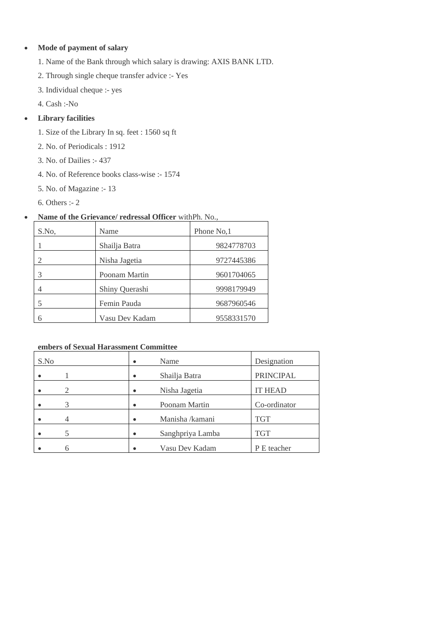# • **Mode of payment of salary**

- 1. Name of the Bank through which salary is drawing: AXIS BANK LTD.
- 2. Through single cheque transfer advice :- Yes
- 3. Individual cheque :- yes
- 4. Cash :-No

# • **Library facilities**

- 1. Size of the Library In sq. feet : 1560 sq ft
- 2. No. of Periodicals : 1912
- 3. No. of Dailies :- 437
- 4. No. of Reference books class-wise :- 1574
- 5. No. of Magazine :- 13
- 6. Others :- 2

# • **Name of the Grievance/ redressal Officer** withPh. No.,

| S.No. | Name           | Phone No.1 |
|-------|----------------|------------|
|       | Shailja Batra  | 9824778703 |
|       | Nisha Jagetia  | 9727445386 |
|       | Poonam Martin  | 9601704065 |
|       | Shiny Querashi | 9998179949 |
|       | Femin Pauda    | 9687960546 |
|       | Vasu Dev Kadam | 9558331570 |

## **embers of Sexual Harassment Committee**

| S.No           | Name<br>$\bullet$             | Designation      |
|----------------|-------------------------------|------------------|
|                | Shailja Batra<br>$\bullet$    | <b>PRINCIPAL</b> |
| $\overline{c}$ | Nisha Jagetia<br>$\bullet$    | <b>IT HEAD</b>   |
| 3              | Poonam Martin<br>$\bullet$    | Co-ordinator     |
| 4              | Manisha /kamani<br>$\bullet$  | <b>TGT</b>       |
|                | Sanghpriya Lamba<br>$\bullet$ | <b>TGT</b>       |
|                | Vasu Dev Kadam                | P E teacher      |